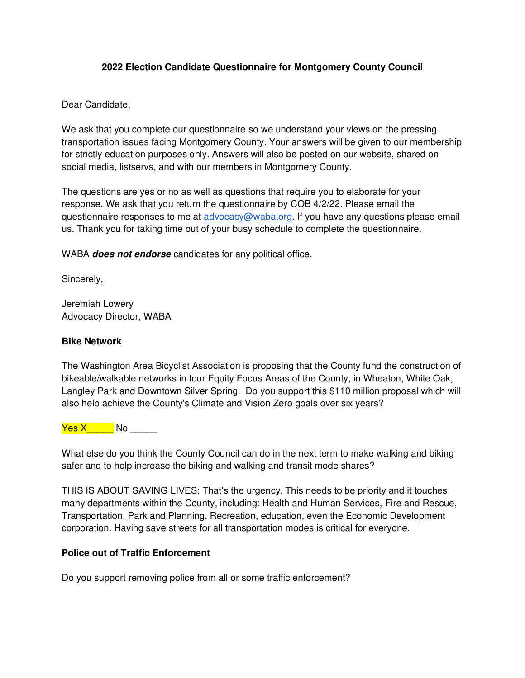## **2022 Election Candidate Questionnaire for Montgomery County Council**

Dear Candidate,

We ask that you complete our questionnaire so we understand your views on the pressing transportation issues facing Montgomery County. Your answers will be given to our membership for strictly education purposes only. Answers will also be posted on our website, shared on social media, listservs, and with our members in Montgomery County.

The questions are yes or no as well as questions that require you to elaborate for your response. We ask that you return the questionnaire by COB 4/2/22. Please email the questionnaire responses to me at [advocacy@waba.org.](mailto:advocacy@waba.org) If you have any questions please email us. Thank you for taking time out of your busy schedule to complete the questionnaire.

WABA **does not endorse** candidates for any political office.

Sincerely,

Jeremiah Lowery Advocacy Director, WABA

### **Bike Network**

The Washington Area Bicyclist Association is proposing that the County fund the construction of bikeable/walkable networks in four Equity Focus Areas of the County, in Wheaton, White Oak, Langley Park and Downtown Silver Spring. Do you support this \$110 million proposal which will also help achieve the County's Climate and Vision Zero goals over six years?

Yes X\_\_\_\_\_ No \_\_\_\_\_

What else do you think the County Council can do in the next term to make walking and biking safer and to help increase the biking and walking and transit mode shares?

THIS IS ABOUT SAVING LIVES; That's the urgency. This needs to be priority and it touches many departments within the County, including: Health and Human Services, Fire and Rescue, Transportation, Park and Planning, Recreation, education, even the Economic Development corporation. Having save streets for all transportation modes is critical for everyone.

# **Police out of Traffic Enforcement**

Do you support removing police from all or some traffic enforcement?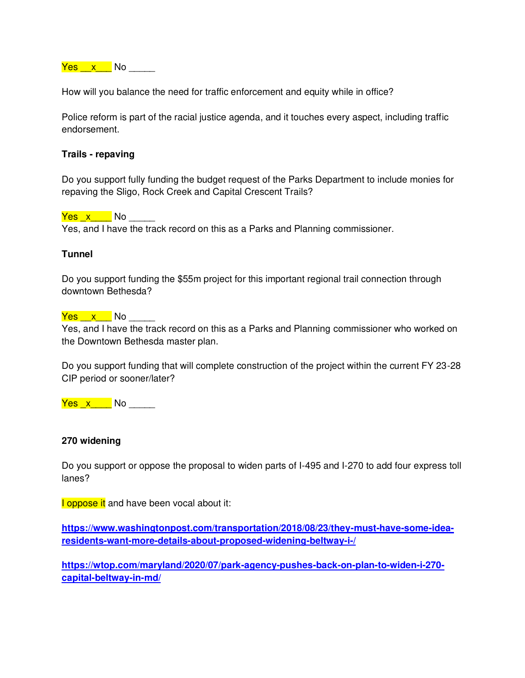<mark>Yes x \_</mark> No \_\_\_\_\_

How will you balance the need for traffic enforcement and equity while in office?

Police reform is part of the racial justice agenda, and it touches every aspect, including traffic endorsement.

### **Trails - repaving**

Do you support fully funding the budget request of the Parks Department to include monies for repaving the Sligo, Rock Creek and Capital Crescent Trails?

<mark>Yes x \_</mark> No \_\_\_\_ Yes, and I have the track record on this as a Parks and Planning commissioner.

### **Tunnel**

Do you support funding the \$55m project for this important regional trail connection through downtown Bethesda?

<mark>Yes x N</mark>o \_\_\_\_

Yes, and I have the track record on this as a Parks and Planning commissioner who worked on the Downtown Bethesda master plan.

Do you support funding that will complete construction of the project within the current FY 23-28 CIP period or sooner/later?

Yes \_x\_\_\_\_ No \_\_\_\_\_

#### **270 widening**

Do you support or oppose the proposal to widen parts of I-495 and I-270 to add four express toll lanes?

**I** oppose it and have been vocal about it:

**[https://www.washingtonpost.com/transportation/2018/08/23/they-must-have-some-idea](https://www.washingtonpost.com/transportation/2018/08/23/they-must-have-some-idea-residents-want-more-details-about-proposed-widening-beltway-i-/)[residents-want-more-details-about-proposed-widening-beltway-i-/](https://www.washingtonpost.com/transportation/2018/08/23/they-must-have-some-idea-residents-want-more-details-about-proposed-widening-beltway-i-/)**

**[https://wtop.com/maryland/2020/07/park-agency-pushes-back-on-plan-to-widen-i-270](https://wtop.com/maryland/2020/07/park-agency-pushes-back-on-plan-to-widen-i-270-capital-beltway-in-md/) [capital-beltway-in-md/](https://wtop.com/maryland/2020/07/park-agency-pushes-back-on-plan-to-widen-i-270-capital-beltway-in-md/)**